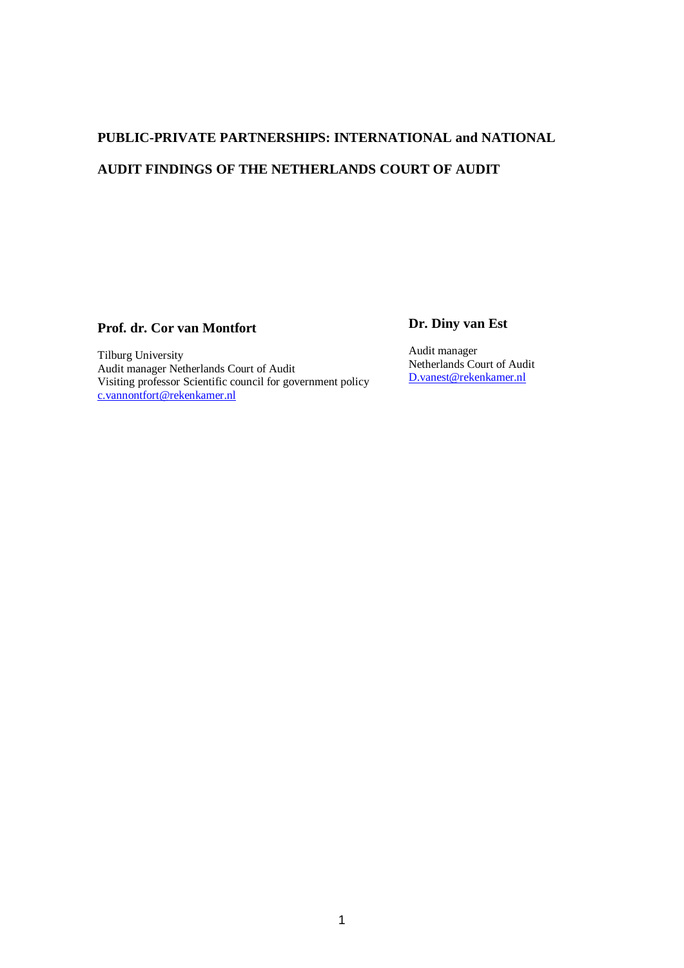# **PUBLIC-PRIVATE PARTNERSHIPS: INTERNATIONAL and NATIONAL AUDIT FINDINGS OF THE NETHERLANDS COURT OF AUDIT**

# **Prof. dr. Cor van Montfort**

Tilburg University Audit manager Netherlands Court of Audit Visiting professor Scientific council for government policy [c.vannontfort@rekenkamer.nl](mailto:c.vannontfort@rekenkamer.nl)

# **Dr. Diny van Est**

Audit manager Netherlands Court of Audit [D.vanest@rekenkamer.nl](mailto:D.vanest@rekenkamer.nl)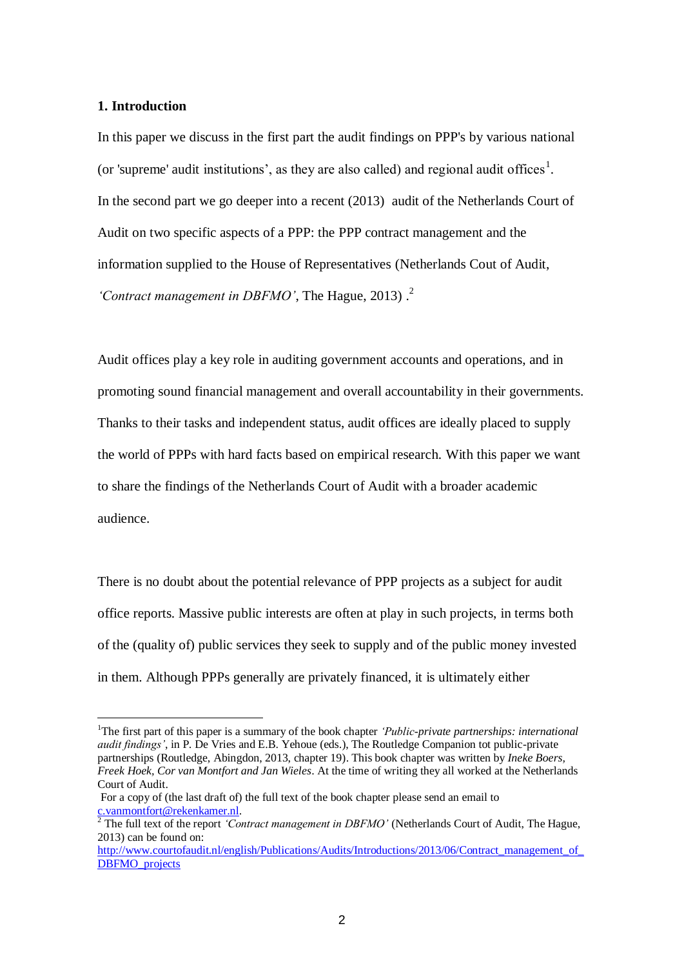#### **1. Introduction**

 $\overline{a}$ 

In this paper we discuss in the first part the audit findings on PPP's by various national (or 'supreme' audit institutions', as they are also called) and regional audit offices<sup>1</sup>. In the second part we go deeper into a recent (2013) audit of the Netherlands Court of Audit on two specific aspects of a PPP: the PPP contract management and the information supplied to the House of Representatives (Netherlands Cout of Audit, *'Contract management in DBFMO'*, The Hague, 2013) . 2

Audit offices play a key role in auditing government accounts and operations, and in promoting sound financial management and overall accountability in their governments. Thanks to their tasks and independent status, audit offices are ideally placed to supply the world of PPPs with hard facts based on empirical research. With this paper we want to share the findings of the Netherlands Court of Audit with a broader academic audience.

There is no doubt about the potential relevance of PPP projects as a subject for audit office reports. Massive public interests are often at play in such projects, in terms both of the (quality of) public services they seek to supply and of the public money invested in them. Although PPPs generally are privately financed, it is ultimately either

<sup>&</sup>lt;sup>1</sup>The first part of this paper is a summary of the book chapter *'Public-private partnerships: international audit findings'*, in P. De Vries and E.B. Yehoue (eds.), The Routledge Companion tot public-private partnerships (Routledge, Abingdon, 2013, chapter 19). This book chapter was written by *Ineke Boers, Freek Hoek, Cor van Montfort and Jan Wieles*. At the time of writing they all worked at the Netherlands Court of Audit.

For a copy of (the last draft of) the full text of the book chapter please send an email to [c.vanmontfort@rekenkamer.nl.](mailto:c.vanmontfort@rekenkamer.nl)

<sup>&</sup>lt;sup>2</sup> The full text of the report *'Contract management in DBFMO'* (Netherlands Court of Audit, The Hague, 2013) can be found on:

http://www.courtofaudit.nl/english/Publications/Audits/Introductions/2013/06/Contract\_management\_of [DBFMO\\_projects](http://www.courtofaudit.nl/english/Publications/Audits/Introductions/2013/06/Contract_management_of_DBFMO_projects)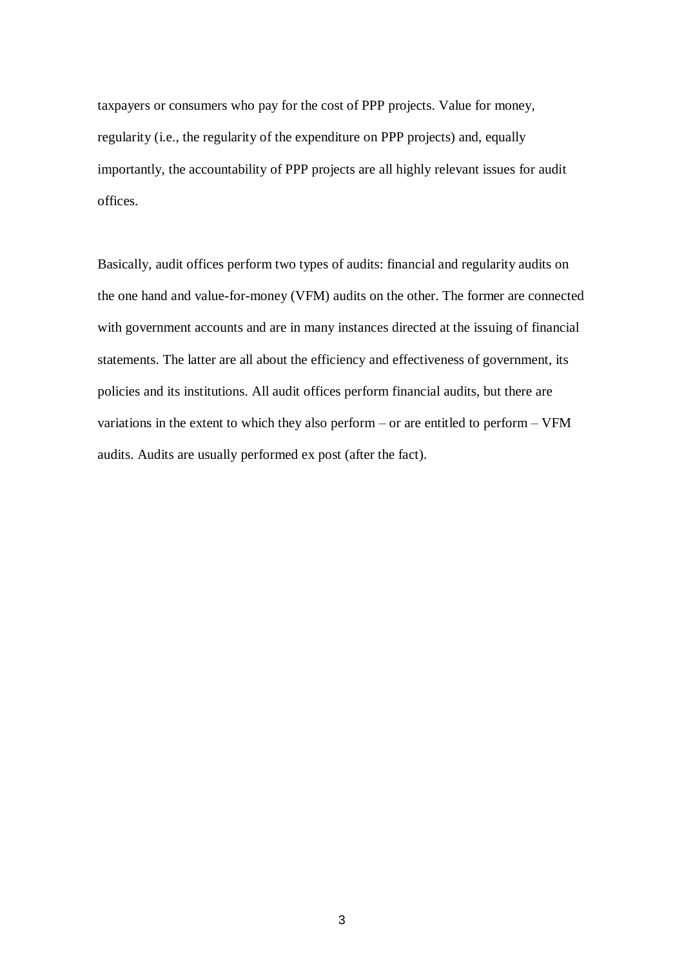taxpayers or consumers who pay for the cost of PPP projects. Value for money, regularity (i.e., the regularity of the expenditure on PPP projects) and, equally importantly, the accountability of PPP projects are all highly relevant issues for audit offices.

Basically, audit offices perform two types of audits: financial and regularity audits on the one hand and value-for-money (VFM) audits on the other. The former are connected with government accounts and are in many instances directed at the issuing of financial statements. The latter are all about the efficiency and effectiveness of government, its policies and its institutions. All audit offices perform financial audits, but there are variations in the extent to which they also perform – or are entitled to perform – VFM audits. Audits are usually performed ex post (after the fact).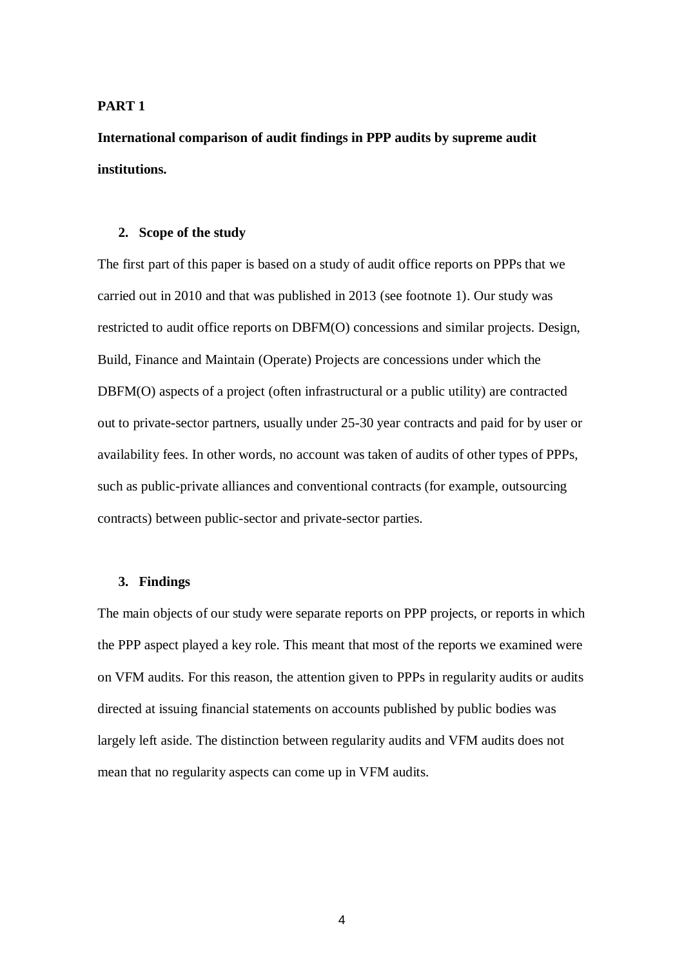#### **PART 1**

**International comparison of audit findings in PPP audits by supreme audit institutions.**

#### **2. Scope of the study**

The first part of this paper is based on a study of audit office reports on PPPs that we carried out in 2010 and that was published in 2013 (see footnote 1). Our study was restricted to audit office reports on DBFM(O) concessions and similar projects. Design, Build, Finance and Maintain (Operate) Projects are concessions under which the DBFM(O) aspects of a project (often infrastructural or a public utility) are contracted out to private-sector partners, usually under 25-30 year contracts and paid for by user or availability fees. In other words, no account was taken of audits of other types of PPPs, such as public-private alliances and conventional contracts (for example, outsourcing contracts) between public-sector and private-sector parties.

#### **3. Findings**

The main objects of our study were separate reports on PPP projects, or reports in which the PPP aspect played a key role. This meant that most of the reports we examined were on VFM audits. For this reason, the attention given to PPPs in regularity audits or audits directed at issuing financial statements on accounts published by public bodies was largely left aside. The distinction between regularity audits and VFM audits does not mean that no regularity aspects can come up in VFM audits.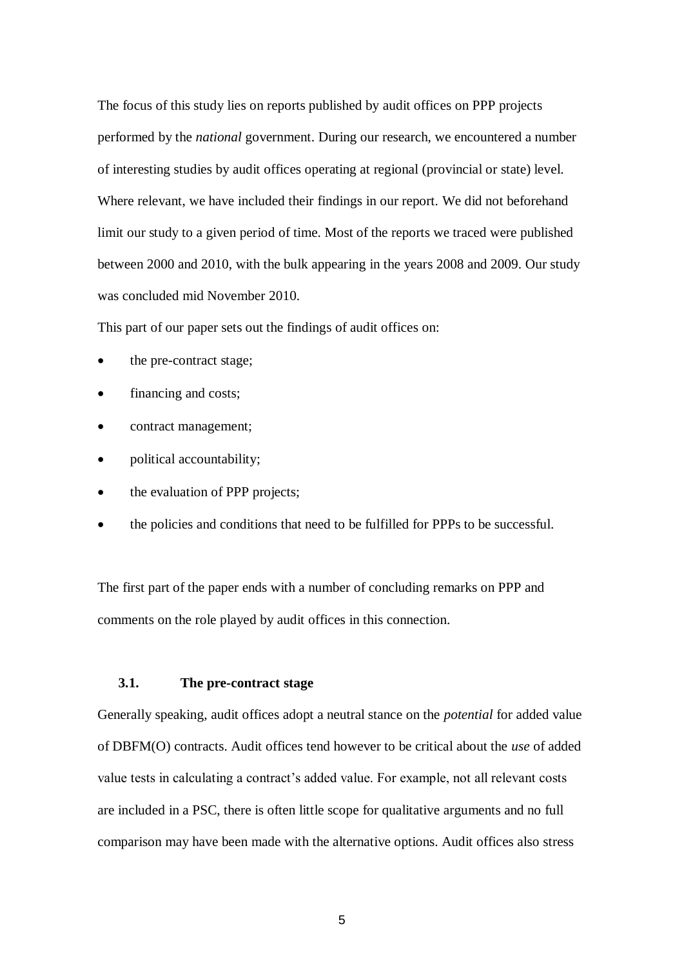The focus of this study lies on reports published by audit offices on PPP projects performed by the *national* government. During our research, we encountered a number of interesting studies by audit offices operating at regional (provincial or state) level. Where relevant, we have included their findings in our report. We did not beforehand limit our study to a given period of time. Most of the reports we traced were published between 2000 and 2010, with the bulk appearing in the years 2008 and 2009. Our study was concluded mid November 2010.

This part of our paper sets out the findings of audit offices on:

- the pre-contract stage;
- financing and costs;
- contract management;
- political accountability;
- the evaluation of PPP projects;
- the policies and conditions that need to be fulfilled for PPPs to be successful.

The first part of the paper ends with a number of concluding remarks on PPP and comments on the role played by audit offices in this connection.

# **3.1. The pre-contract stage**

Generally speaking, audit offices adopt a neutral stance on the *potential* for added value of DBFM(O) contracts. Audit offices tend however to be critical about the *use* of added value tests in calculating a contract's added value. For example, not all relevant costs are included in a PSC, there is often little scope for qualitative arguments and no full comparison may have been made with the alternative options. Audit offices also stress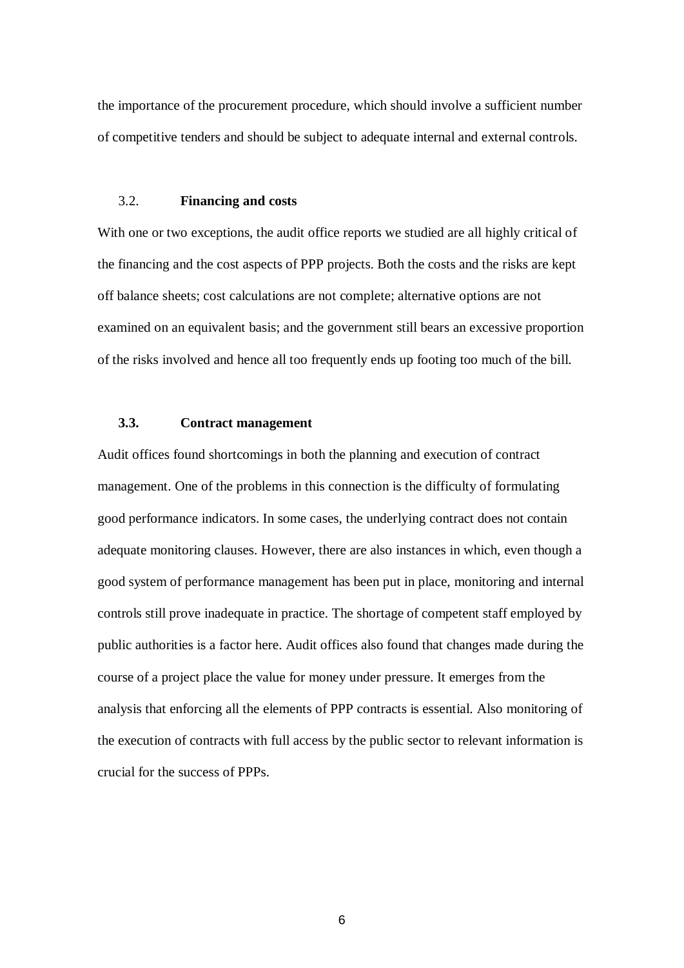the importance of the procurement procedure, which should involve a sufficient number of competitive tenders and should be subject to adequate internal and external controls.

#### 3.2. **Financing and costs**

With one or two exceptions, the audit office reports we studied are all highly critical of the financing and the cost aspects of PPP projects. Both the costs and the risks are kept off balance sheets; cost calculations are not complete; alternative options are not examined on an equivalent basis; and the government still bears an excessive proportion of the risks involved and hence all too frequently ends up footing too much of the bill.

# **3.3. Contract management**

Audit offices found shortcomings in both the planning and execution of contract management. One of the problems in this connection is the difficulty of formulating good performance indicators. In some cases, the underlying contract does not contain adequate monitoring clauses. However, there are also instances in which, even though a good system of performance management has been put in place, monitoring and internal controls still prove inadequate in practice. The shortage of competent staff employed by public authorities is a factor here. Audit offices also found that changes made during the course of a project place the value for money under pressure. It emerges from the analysis that enforcing all the elements of PPP contracts is essential. Also monitoring of the execution of contracts with full access by the public sector to relevant information is crucial for the success of PPPs.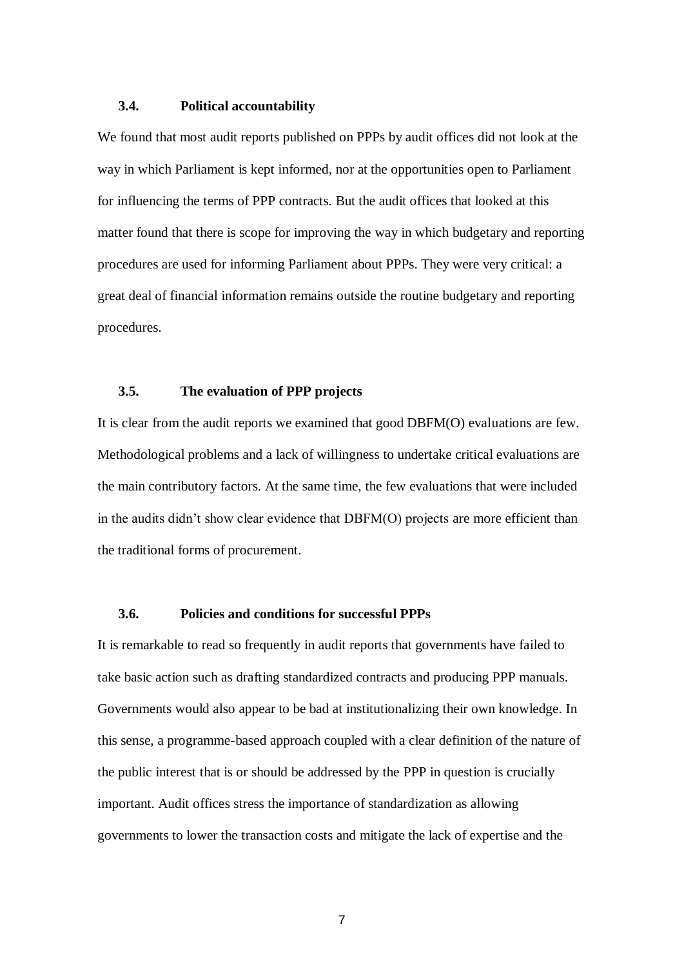#### **3.4. Political accountability**

We found that most audit reports published on PPPs by audit offices did not look at the way in which Parliament is kept informed, nor at the opportunities open to Parliament for influencing the terms of PPP contracts. But the audit offices that looked at this matter found that there is scope for improving the way in which budgetary and reporting procedures are used for informing Parliament about PPPs. They were very critical: a great deal of financial information remains outside the routine budgetary and reporting procedures.

# **3.5. The evaluation of PPP projects**

It is clear from the audit reports we examined that good DBFM(O) evaluations are few. Methodological problems and a lack of willingness to undertake critical evaluations are the main contributory factors. At the same time, the few evaluations that were included in the audits didn't show clear evidence that DBFM(O) projects are more efficient than the traditional forms of procurement.

## **3.6. Policies and conditions for successful PPPs**

It is remarkable to read so frequently in audit reports that governments have failed to take basic action such as drafting standardized contracts and producing PPP manuals. Governments would also appear to be bad at institutionalizing their own knowledge. In this sense, a programme-based approach coupled with a clear definition of the nature of the public interest that is or should be addressed by the PPP in question is crucially important. Audit offices stress the importance of standardization as allowing governments to lower the transaction costs and mitigate the lack of expertise and the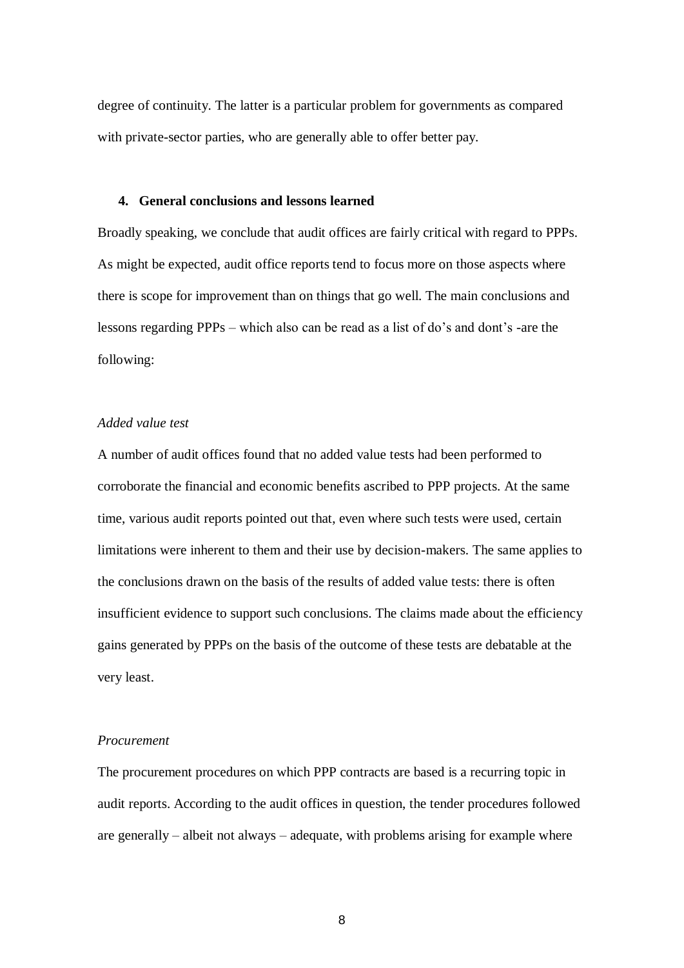degree of continuity. The latter is a particular problem for governments as compared with private-sector parties, who are generally able to offer better pay.

#### **4. General conclusions and lessons learned**

Broadly speaking, we conclude that audit offices are fairly critical with regard to PPPs. As might be expected, audit office reports tend to focus more on those aspects where there is scope for improvement than on things that go well. The main conclusions and lessons regarding PPPs – which also can be read as a list of do's and dont's -are the following:

# *Added value test*

A number of audit offices found that no added value tests had been performed to corroborate the financial and economic benefits ascribed to PPP projects. At the same time, various audit reports pointed out that, even where such tests were used, certain limitations were inherent to them and their use by decision-makers. The same applies to the conclusions drawn on the basis of the results of added value tests: there is often insufficient evidence to support such conclusions. The claims made about the efficiency gains generated by PPPs on the basis of the outcome of these tests are debatable at the very least.

#### *Procurement*

The procurement procedures on which PPP contracts are based is a recurring topic in audit reports. According to the audit offices in question, the tender procedures followed are generally – albeit not always – adequate, with problems arising for example where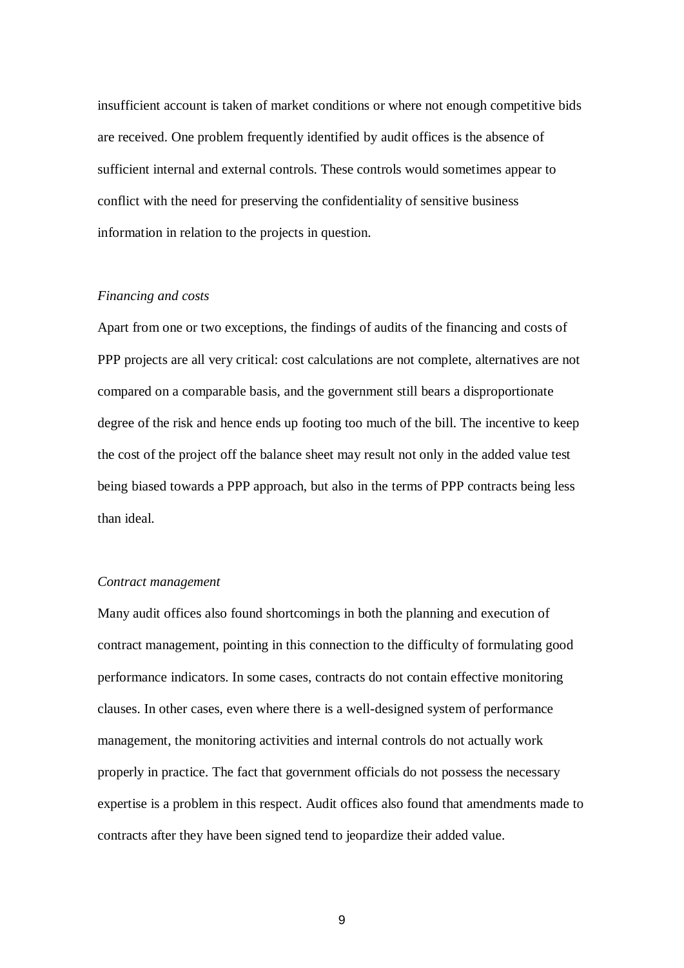insufficient account is taken of market conditions or where not enough competitive bids are received. One problem frequently identified by audit offices is the absence of sufficient internal and external controls. These controls would sometimes appear to conflict with the need for preserving the confidentiality of sensitive business information in relation to the projects in question.

## *Financing and costs*

Apart from one or two exceptions, the findings of audits of the financing and costs of PPP projects are all very critical: cost calculations are not complete, alternatives are not compared on a comparable basis, and the government still bears a disproportionate degree of the risk and hence ends up footing too much of the bill. The incentive to keep the cost of the project off the balance sheet may result not only in the added value test being biased towards a PPP approach, but also in the terms of PPP contracts being less than ideal.

#### *Contract management*

Many audit offices also found shortcomings in both the planning and execution of contract management, pointing in this connection to the difficulty of formulating good performance indicators. In some cases, contracts do not contain effective monitoring clauses. In other cases, even where there is a well-designed system of performance management, the monitoring activities and internal controls do not actually work properly in practice. The fact that government officials do not possess the necessary expertise is a problem in this respect. Audit offices also found that amendments made to contracts after they have been signed tend to jeopardize their added value.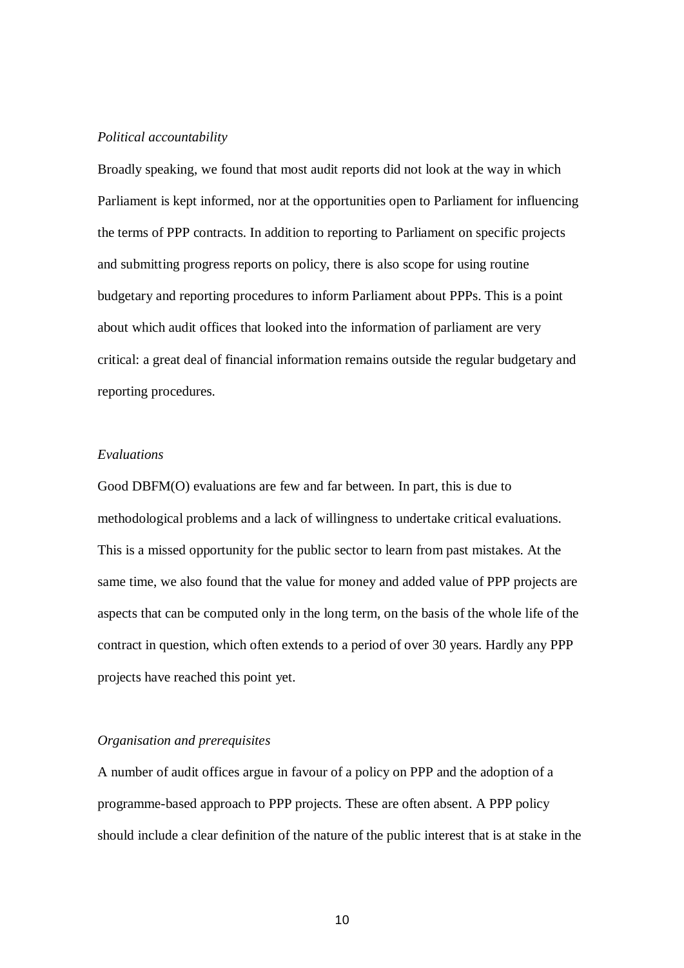#### *Political accountability*

Broadly speaking, we found that most audit reports did not look at the way in which Parliament is kept informed, nor at the opportunities open to Parliament for influencing the terms of PPP contracts. In addition to reporting to Parliament on specific projects and submitting progress reports on policy, there is also scope for using routine budgetary and reporting procedures to inform Parliament about PPPs. This is a point about which audit offices that looked into the information of parliament are very critical: a great deal of financial information remains outside the regular budgetary and reporting procedures.

#### *Evaluations*

Good DBFM(O) evaluations are few and far between. In part, this is due to methodological problems and a lack of willingness to undertake critical evaluations. This is a missed opportunity for the public sector to learn from past mistakes. At the same time, we also found that the value for money and added value of PPP projects are aspects that can be computed only in the long term, on the basis of the whole life of the contract in question, which often extends to a period of over 30 years. Hardly any PPP projects have reached this point yet.

# *Organisation and prerequisites*

A number of audit offices argue in favour of a policy on PPP and the adoption of a programme-based approach to PPP projects. These are often absent. A PPP policy should include a clear definition of the nature of the public interest that is at stake in the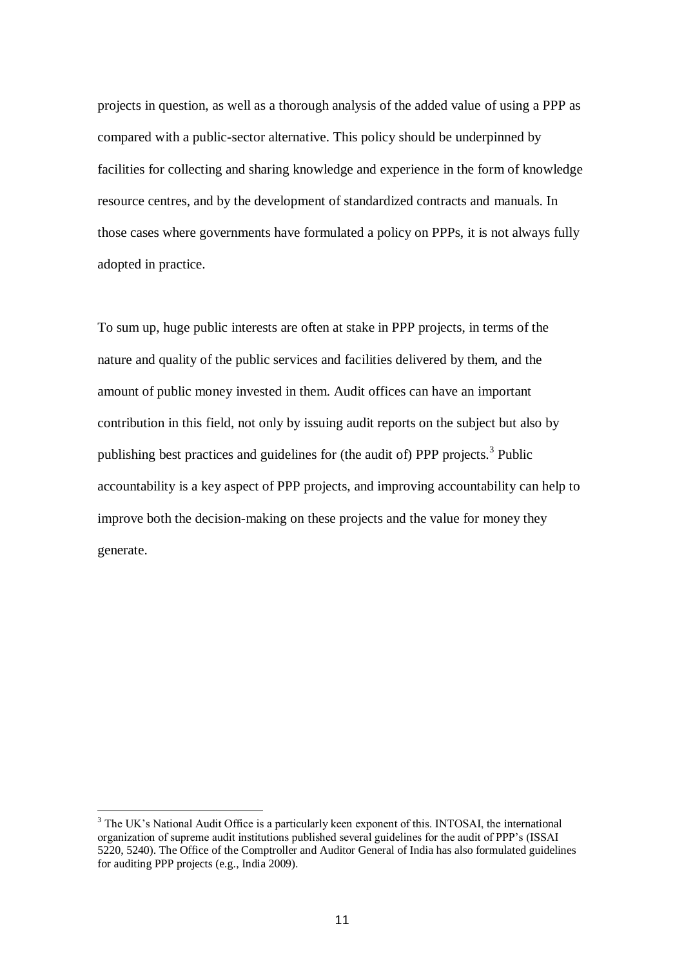projects in question, as well as a thorough analysis of the added value of using a PPP as compared with a public-sector alternative. This policy should be underpinned by facilities for collecting and sharing knowledge and experience in the form of knowledge resource centres, and by the development of standardized contracts and manuals. In those cases where governments have formulated a policy on PPPs, it is not always fully adopted in practice.

To sum up, huge public interests are often at stake in PPP projects, in terms of the nature and quality of the public services and facilities delivered by them, and the amount of public money invested in them. Audit offices can have an important contribution in this field, not only by issuing audit reports on the subject but also by publishing best practices and guidelines for (the audit of) PPP projects.<sup>3</sup> Public accountability is a key aspect of PPP projects, and improving accountability can help to improve both the decision-making on these projects and the value for money they generate.

 $\overline{a}$ 

<sup>&</sup>lt;sup>3</sup> The UK's National Audit Office is a particularly keen exponent of this. INTOSAI, the international organization of supreme audit institutions published several guidelines for the audit of PPP's (ISSAI 5220, 5240). The Office of the Comptroller and Auditor General of India has also formulated guidelines for auditing PPP projects (e.g., India 2009).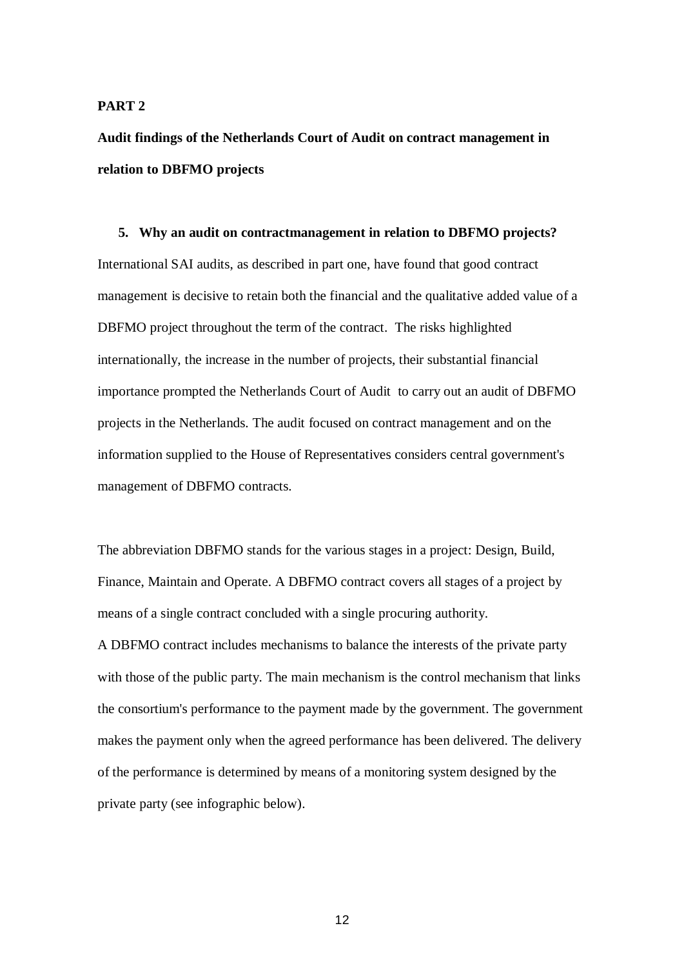#### **PART 2**

**Audit findings of the Netherlands Court of Audit on contract management in relation to DBFMO projects**

# **5. Why an audit on contractmanagement in relation to DBFMO projects?** International SAI audits, as described in part one, have found that good contract management is decisive to retain both the financial and the qualitative added value of a DBFMO project throughout the term of the contract. The risks highlighted internationally, the increase in the number of projects, their substantial financial importance prompted the Netherlands Court of Audit to carry out an audit of DBFMO projects in the Netherlands. The audit focused on contract management and on the information supplied to the House of Representatives considers central government's management of DBFMO contracts.

The abbreviation DBFMO stands for the various stages in a project: Design, Build, Finance, Maintain and Operate. A DBFMO contract covers all stages of a project by means of a single contract concluded with a single procuring authority.

A DBFMO contract includes mechanisms to balance the interests of the private party with those of the public party. The main mechanism is the control mechanism that links the consortium's performance to the payment made by the government. The government makes the payment only when the agreed performance has been delivered. The delivery of the performance is determined by means of a monitoring system designed by the private party (see infographic below).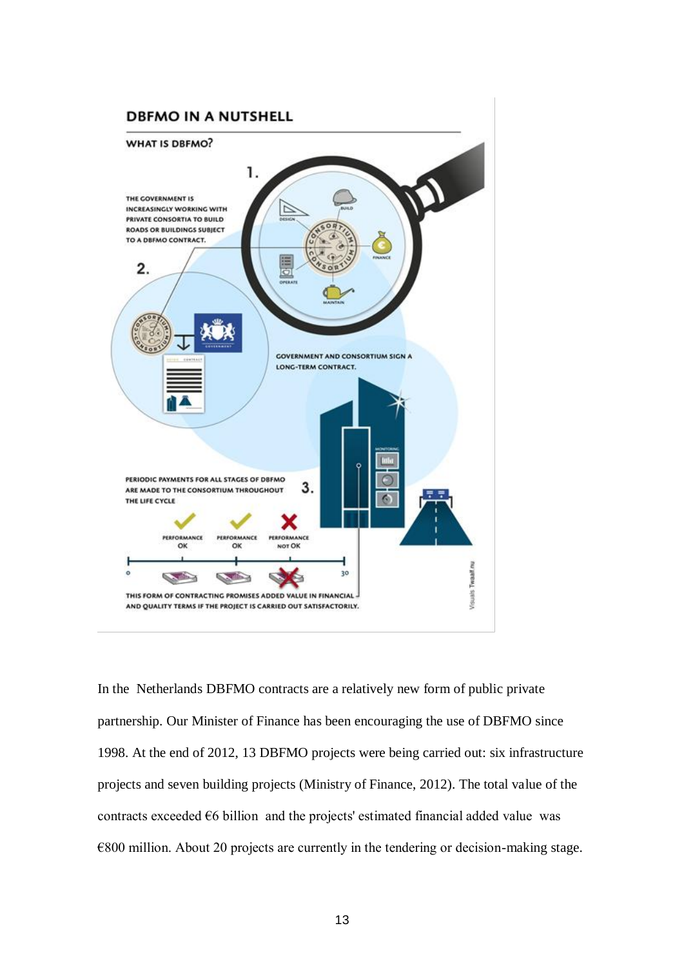

In the Netherlands DBFMO contracts are a relatively new form of public private partnership. Our Minister of Finance has been encouraging the use of DBFMO since 1998. At the end of 2012, 13 DBFMO projects were being carried out: six infrastructure projects and seven building projects (Ministry of Finance, 2012). The total value of the contracts exceeded  $\epsilon$ 6 billion and the projects' estimated financial added value was €800 million. About 20 projects are currently in the tendering or decision-making stage.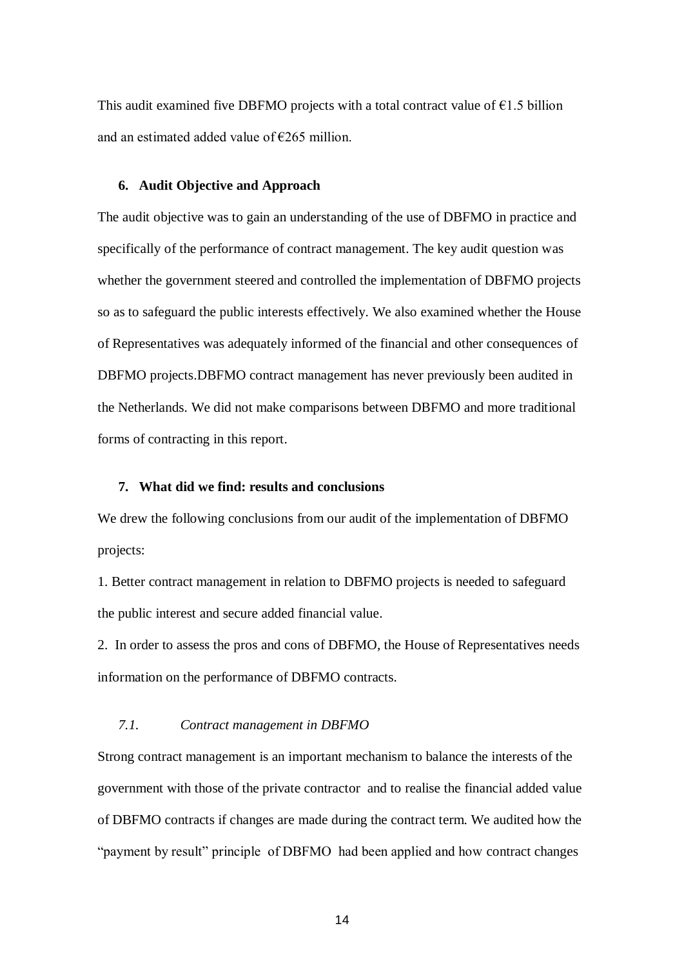This audit examined five DBFMO projects with a total contract value of  $E1.5$  billion and an estimated added value of  $\epsilon$ 265 million.

#### **6. Audit Objective and Approach**

The audit objective was to gain an understanding of the use of DBFMO in practice and specifically of the performance of contract management. The key audit question was whether the government steered and controlled the implementation of DBFMO projects so as to safeguard the public interests effectively. We also examined whether the House of Representatives was adequately informed of the financial and other consequences of DBFMO projects.DBFMO contract management has never previously been audited in the Netherlands. We did not make comparisons between DBFMO and more traditional forms of contracting in this report.

# **7. What did we find: results and conclusions**

We drew the following conclusions from our audit of the implementation of DBFMO projects:

1. Better contract management in relation to DBFMO projects is needed to safeguard the public interest and secure added financial value.

2. In order to assess the pros and cons of DBFMO, the House of Representatives needs information on the performance of DBFMO contracts.

# *7.1. Contract management in DBFMO*

Strong contract management is an important mechanism to balance the interests of the government with those of the private contractor and to realise the financial added value of DBFMO contracts if changes are made during the contract term. We audited how the "payment by result" principle of DBFMO had been applied and how contract changes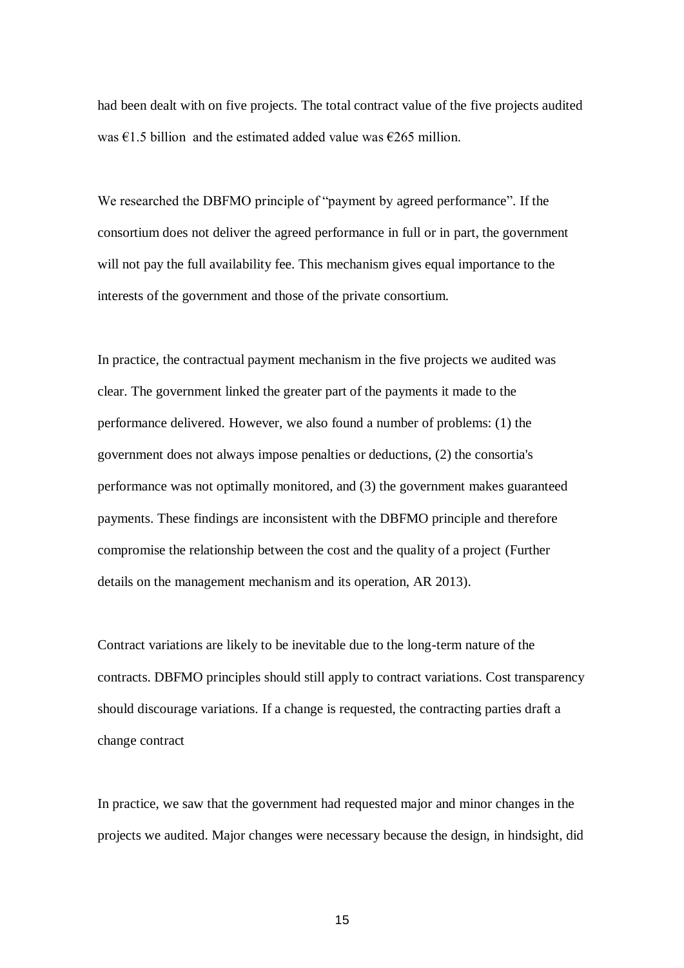had been dealt with on five projects. The total contract value of the five projects audited was  $\epsilon$ 1.5 billion and the estimated added value was  $\epsilon$ 265 million.

We researched the DBFMO principle of "payment by agreed performance". If the consortium does not deliver the agreed performance in full or in part, the government will not pay the full availability fee. This mechanism gives equal importance to the interests of the government and those of the private consortium.

In practice, the contractual payment mechanism in the five projects we audited was clear. The government linked the greater part of the payments it made to the performance delivered. However, we also found a number of problems: (1) the government does not always impose penalties or deductions, (2) the consortia's performance was not optimally monitored, and (3) the government makes guaranteed payments. These findings are inconsistent with the DBFMO principle and therefore compromise the relationship between the cost and the quality of a project (Further details on the management mechanism and its operation, AR 2013).

Contract variations are likely to be inevitable due to the long-term nature of the contracts. DBFMO principles should still apply to contract variations. Cost transparency should discourage variations. If a change is requested, the contracting parties draft a change contract

In practice, we saw that the government had requested major and minor changes in the projects we audited. Major changes were necessary because the design, in hindsight, did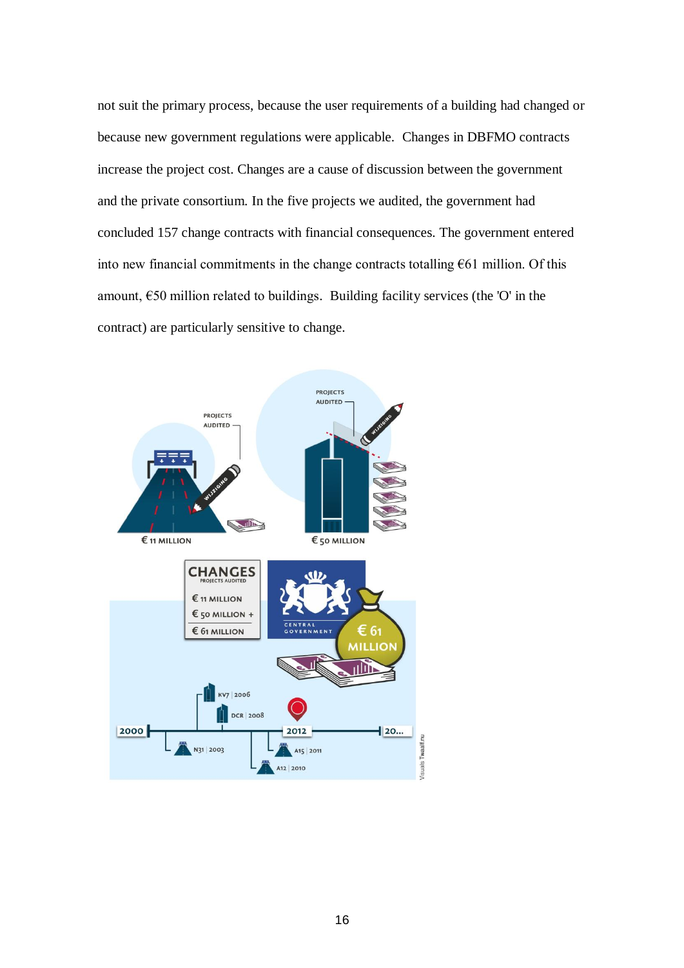not suit the primary process, because the user requirements of a building had changed or because new government regulations were applicable. Changes in DBFMO contracts increase the project cost. Changes are a cause of discussion between the government and the private consortium. In the five projects we audited, the government had concluded 157 change contracts with financial consequences. The government entered into new financial commitments in the change contracts totalling  $E61$  million. Of this amount,  $650$  million related to buildings. Building facility services (the 'O' in the contract) are particularly sensitive to change.

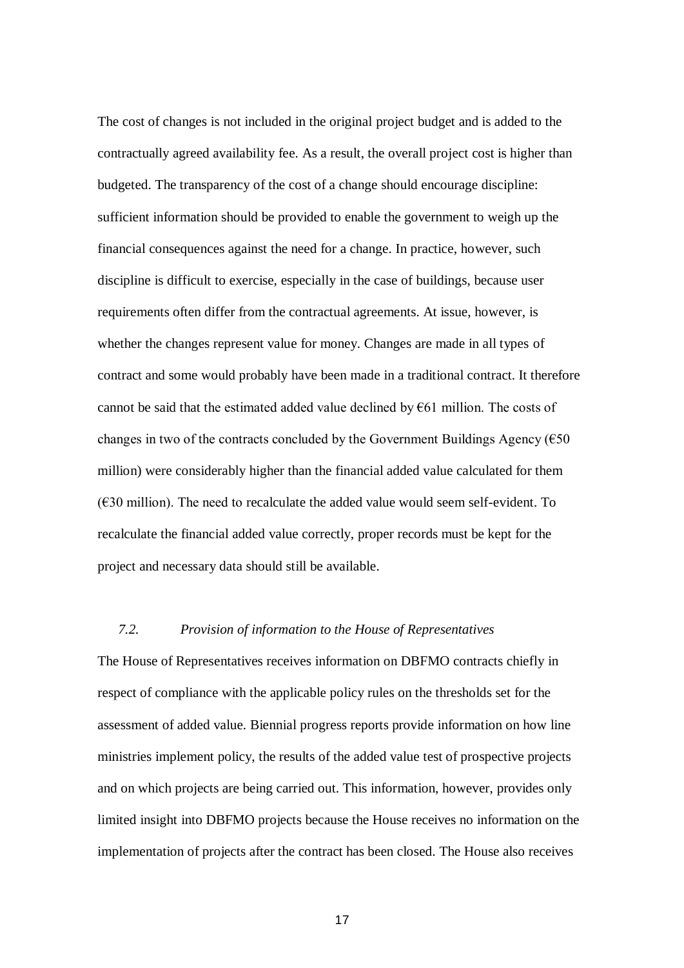The cost of changes is not included in the original project budget and is added to the contractually agreed availability fee. As a result, the overall project cost is higher than budgeted. The transparency of the cost of a change should encourage discipline: sufficient information should be provided to enable the government to weigh up the financial consequences against the need for a change. In practice, however, such discipline is difficult to exercise, especially in the case of buildings, because user requirements often differ from the contractual agreements. At issue, however, is whether the changes represent value for money. Changes are made in all types of contract and some would probably have been made in a traditional contract. It therefore cannot be said that the estimated added value declined by  $E61$  million. The costs of changes in two of the contracts concluded by the Government Buildings Agency ( $\epsilon$ 50) million) were considerably higher than the financial added value calculated for them  $(630 \text{ million})$ . The need to recalculate the added value would seem self-evident. To recalculate the financial added value correctly, proper records must be kept for the project and necessary data should still be available.

# *7.2. Provision of information to the House of Representatives*

The House of Representatives receives information on DBFMO contracts chiefly in respect of compliance with the applicable policy rules on the thresholds set for the assessment of added value. Biennial progress reports provide information on how line ministries implement policy, the results of the added value test of prospective projects and on which projects are being carried out. This information, however, provides only limited insight into DBFMO projects because the House receives no information on the implementation of projects after the contract has been closed. The House also receives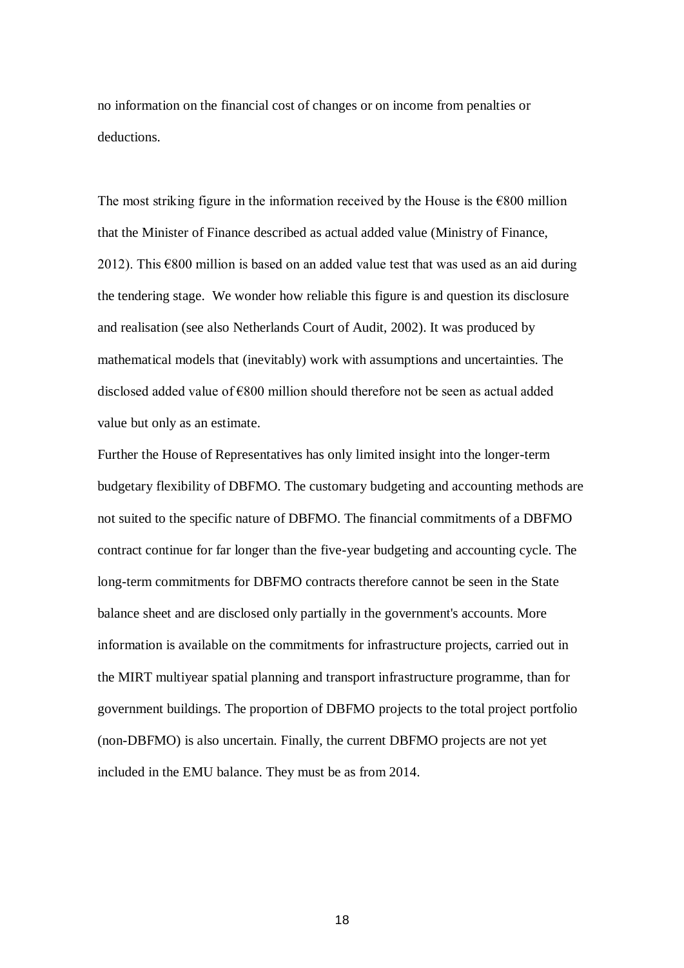no information on the financial cost of changes or on income from penalties or deductions.

The most striking figure in the information received by the House is the  $\epsilon$ 800 million that the Minister of Finance described as actual added value (Ministry of Finance, 2012). This  $\epsilon$ 800 million is based on an added value test that was used as an aid during the tendering stage. We wonder how reliable this figure is and question its disclosure and realisation (see also Netherlands Court of Audit, 2002). It was produced by mathematical models that (inevitably) work with assumptions and uncertainties. The disclosed added value of €800 million should therefore not be seen as actual added value but only as an estimate.

Further the House of Representatives has only limited insight into the longer-term budgetary flexibility of DBFMO. The customary budgeting and accounting methods are not suited to the specific nature of DBFMO. The financial commitments of a DBFMO contract continue for far longer than the five-year budgeting and accounting cycle. The long-term commitments for DBFMO contracts therefore cannot be seen in the State balance sheet and are disclosed only partially in the government's accounts. More information is available on the commitments for infrastructure projects, carried out in the MIRT multiyear spatial planning and transport infrastructure programme, than for government buildings. The proportion of DBFMO projects to the total project portfolio (non-DBFMO) is also uncertain. Finally, the current DBFMO projects are not yet included in the EMU balance. They must be as from 2014.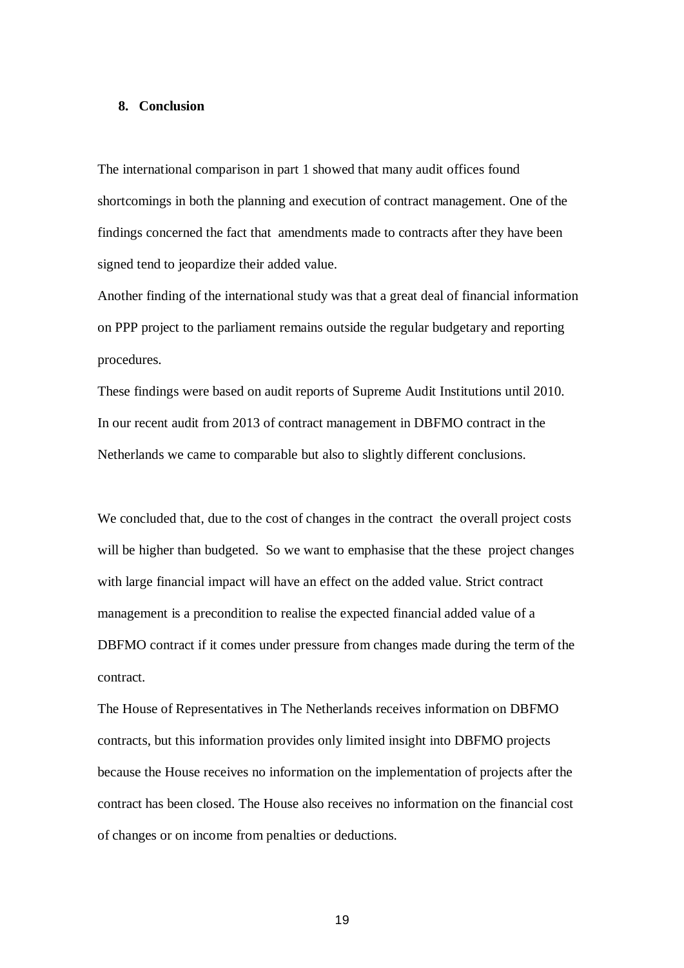#### **8. Conclusion**

The international comparison in part 1 showed that many audit offices found shortcomings in both the planning and execution of contract management. One of the findings concerned the fact that amendments made to contracts after they have been signed tend to jeopardize their added value.

Another finding of the international study was that a great deal of financial information on PPP project to the parliament remains outside the regular budgetary and reporting procedures.

These findings were based on audit reports of Supreme Audit Institutions until 2010. In our recent audit from 2013 of contract management in DBFMO contract in the Netherlands we came to comparable but also to slightly different conclusions.

We concluded that, due to the cost of changes in the contract the overall project costs will be higher than budgeted. So we want to emphasise that the these project changes with large financial impact will have an effect on the added value. Strict contract management is a precondition to realise the expected financial added value of a DBFMO contract if it comes under pressure from changes made during the term of the contract.

The House of Representatives in The Netherlands receives information on DBFMO contracts, but this information provides only limited insight into DBFMO projects because the House receives no information on the implementation of projects after the contract has been closed. The House also receives no information on the financial cost of changes or on income from penalties or deductions.